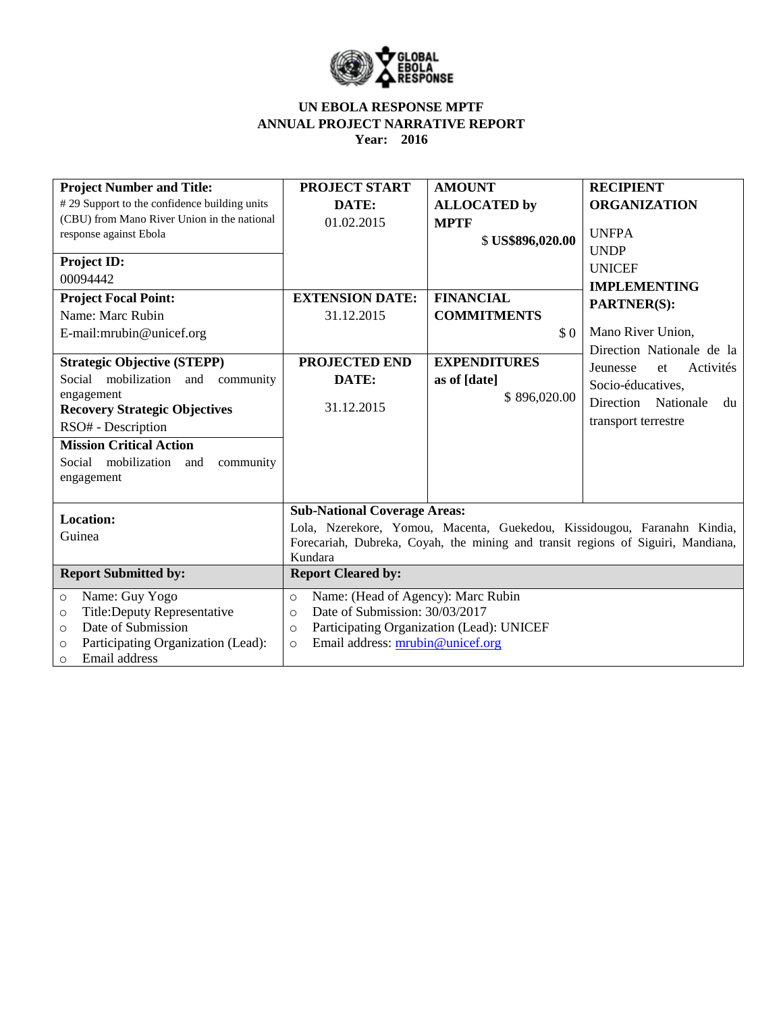

| <b>Project Number and Title:</b>              | <b>PROJECT START</b>                                                             | <b>AMOUNT</b>       | <b>RECIPIENT</b>             |  |  |
|-----------------------------------------------|----------------------------------------------------------------------------------|---------------------|------------------------------|--|--|
| #29 Support to the confidence building units  | DATE:                                                                            | <b>ALLOCATED</b> by | <b>ORGANIZATION</b>          |  |  |
| (CBU) from Mano River Union in the national   | 01.02.2015                                                                       | <b>MPTF</b>         |                              |  |  |
| response against Ebola                        |                                                                                  | \$US\$896,020.00    | <b>UNFPA</b>                 |  |  |
|                                               |                                                                                  |                     | <b>UNDP</b>                  |  |  |
| <b>Project ID:</b>                            |                                                                                  |                     | <b>UNICEF</b>                |  |  |
| 00094442                                      |                                                                                  |                     | <b>IMPLEMENTING</b>          |  |  |
| <b>Project Focal Point:</b>                   | <b>EXTENSION DATE:</b>                                                           | <b>FINANCIAL</b>    | <b>PARTNER(S):</b>           |  |  |
| Name: Marc Rubin                              | 31.12.2015                                                                       | <b>COMMITMENTS</b>  |                              |  |  |
| E-mail:mrubin@unicef.org                      |                                                                                  | \$0                 | Mano River Union,            |  |  |
|                                               |                                                                                  |                     | Direction Nationale de la    |  |  |
| <b>Strategic Objective (STEPP)</b>            | PROJECTED END                                                                    | <b>EXPENDITURES</b> | Activités<br>Jeunesse<br>et  |  |  |
| Social mobilization and community             | DATE:                                                                            | as of [date]        | Socio-éducatives,            |  |  |
| engagement                                    |                                                                                  | \$896,020.00        | Direction<br>Nationale<br>du |  |  |
| <b>Recovery Strategic Objectives</b>          | 31.12.2015                                                                       |                     |                              |  |  |
| RSO# - Description                            |                                                                                  |                     | transport terrestre          |  |  |
| <b>Mission Critical Action</b>                |                                                                                  |                     |                              |  |  |
| Social mobilization and<br>community          |                                                                                  |                     |                              |  |  |
| engagement                                    |                                                                                  |                     |                              |  |  |
|                                               |                                                                                  |                     |                              |  |  |
| <b>Location:</b>                              | <b>Sub-National Coverage Areas:</b>                                              |                     |                              |  |  |
|                                               | Lola, Nzerekore, Yomou, Macenta, Guekedou, Kissidougou, Faranahn Kindia,         |                     |                              |  |  |
| Guinea                                        | Forecariah, Dubreka, Coyah, the mining and transit regions of Siguiri, Mandiana, |                     |                              |  |  |
|                                               | Kundara                                                                          |                     |                              |  |  |
| <b>Report Submitted by:</b>                   | <b>Report Cleared by:</b>                                                        |                     |                              |  |  |
| Name: Guy Yogo<br>$\circ$                     | Name: (Head of Agency): Marc Rubin<br>$\circ$                                    |                     |                              |  |  |
| Title: Deputy Representative<br>$\circ$       | Date of Submission: 30/03/2017<br>$\circ$                                        |                     |                              |  |  |
| Date of Submission<br>$\circ$                 | Participating Organization (Lead): UNICEF<br>$\Omega$                            |                     |                              |  |  |
| Participating Organization (Lead):<br>$\circ$ | Email address: mrubin@unicef.org<br>$\circ$                                      |                     |                              |  |  |
| Email address<br>$\circ$                      |                                                                                  |                     |                              |  |  |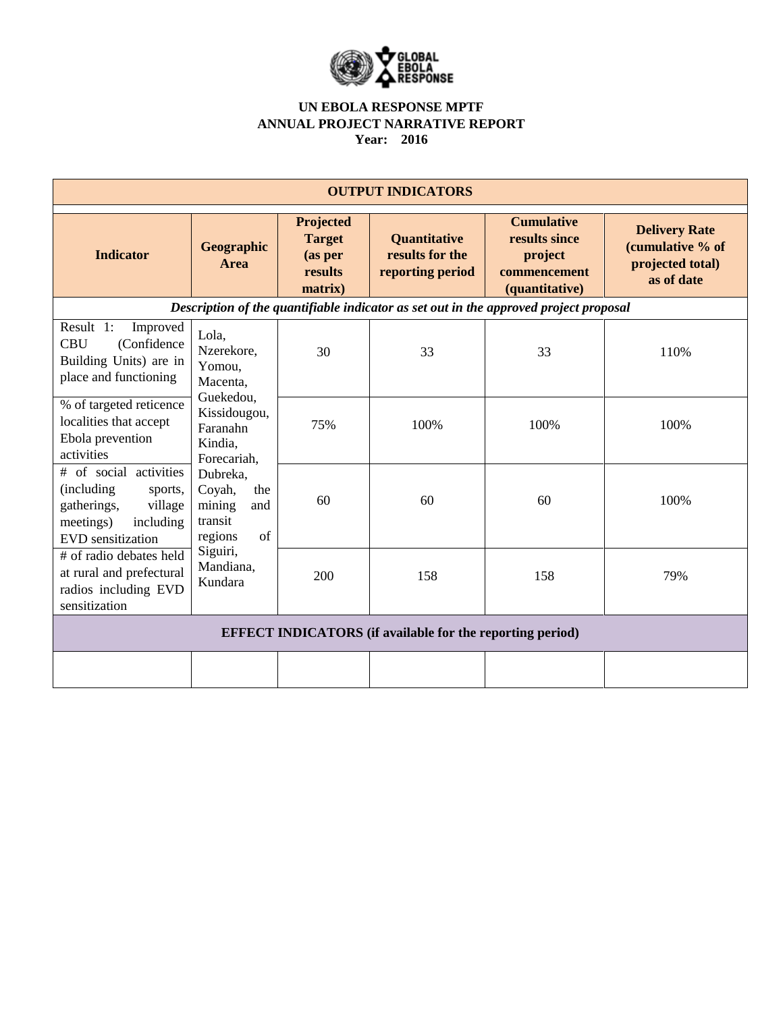

| <b>OUTPUT INDICATORS</b>                                                                                                         |                                                                                                                                                                                                                            |                                                             |                                                            |                                                                                 |                                                                            |  |  |  |  |
|----------------------------------------------------------------------------------------------------------------------------------|----------------------------------------------------------------------------------------------------------------------------------------------------------------------------------------------------------------------------|-------------------------------------------------------------|------------------------------------------------------------|---------------------------------------------------------------------------------|----------------------------------------------------------------------------|--|--|--|--|
| <b>Indicator</b>                                                                                                                 | Geographic<br>Area                                                                                                                                                                                                         | Projected<br><b>Target</b><br>(as per<br>results<br>matrix) | <b>Quantitative</b><br>results for the<br>reporting period | <b>Cumulative</b><br>results since<br>project<br>commencement<br>(quantitative) | <b>Delivery Rate</b><br>(cumulative % of<br>projected total)<br>as of date |  |  |  |  |
| Description of the quantifiable indicator as set out in the approved project proposal                                            |                                                                                                                                                                                                                            |                                                             |                                                            |                                                                                 |                                                                            |  |  |  |  |
| Result 1:<br>Improved<br><b>CBU</b><br>(Confidence<br>Building Units) are in<br>place and functioning                            | Lola,<br>Nzerekore,<br>Yomou,<br>Macenta,<br>Guekedou,<br>Kissidougou,<br>Faranahn<br>Kindia,<br>Forecariah,<br>Dubreka,<br>Coyah,<br>the<br>mining<br>and<br>transit<br>regions<br>of<br>Siguiri,<br>Mandiana,<br>Kundara | 30                                                          | 33                                                         | 33                                                                              | 110%                                                                       |  |  |  |  |
| % of targeted reticence<br>localities that accept<br>Ebola prevention<br>activities                                              |                                                                                                                                                                                                                            | 75%                                                         | 100%                                                       | 100%                                                                            | 100%                                                                       |  |  |  |  |
| # of social activities<br>(including)<br>sports,<br>village<br>gatherings,<br>including<br>meetings)<br><b>EVD</b> sensitization |                                                                                                                                                                                                                            | 60                                                          | 60                                                         | 60                                                                              | 100%                                                                       |  |  |  |  |
| # of radio debates held<br>at rural and prefectural<br>radios including EVD<br>sensitization                                     |                                                                                                                                                                                                                            | 200                                                         | 158                                                        | 158                                                                             | 79%                                                                        |  |  |  |  |
| <b>EFFECT INDICATORS</b> (if available for the reporting period)                                                                 |                                                                                                                                                                                                                            |                                                             |                                                            |                                                                                 |                                                                            |  |  |  |  |
|                                                                                                                                  |                                                                                                                                                                                                                            |                                                             |                                                            |                                                                                 |                                                                            |  |  |  |  |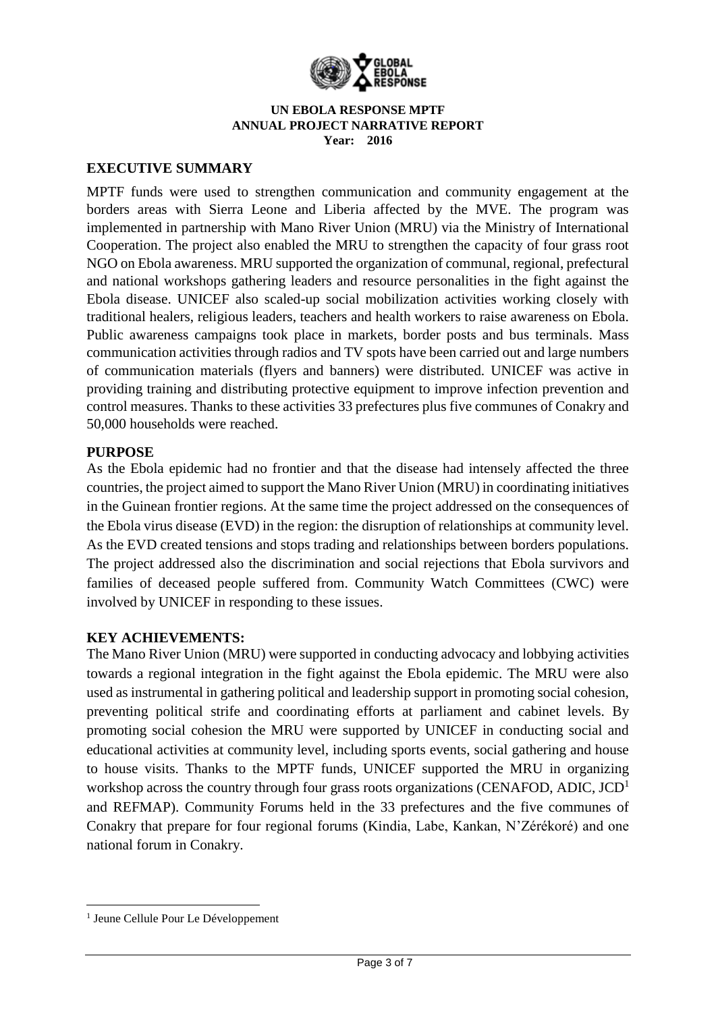

## **EXECUTIVE SUMMARY**

MPTF funds were used to strengthen communication and community engagement at the borders areas with Sierra Leone and Liberia affected by the MVE. The program was implemented in partnership with Mano River Union (MRU) via the Ministry of International Cooperation. The project also enabled the MRU to strengthen the capacity of four grass root NGO on Ebola awareness. MRU supported the organization of communal, regional, prefectural and national workshops gathering leaders and resource personalities in the fight against the Ebola disease. UNICEF also scaled-up social mobilization activities working closely with traditional healers, religious leaders, teachers and health workers to raise awareness on Ebola. Public awareness campaigns took place in markets, border posts and bus terminals. Mass communication activities through radios and TV spots have been carried out and large numbers of communication materials (flyers and banners) were distributed. UNICEF was active in providing training and distributing protective equipment to improve infection prevention and control measures. Thanks to these activities 33 prefectures plus five communes of Conakry and 50,000 households were reached.

## **PURPOSE**

As the Ebola epidemic had no frontier and that the disease had intensely affected the three countries, the project aimed to support the Mano River Union (MRU) in coordinating initiatives in the Guinean frontier regions. At the same time the project addressed on the consequences of the Ebola virus disease (EVD) in the region: the disruption of relationships at community level. As the EVD created tensions and stops trading and relationships between borders populations. The project addressed also the discrimination and social rejections that Ebola survivors and families of deceased people suffered from. Community Watch Committees (CWC) were involved by UNICEF in responding to these issues.

## **KEY ACHIEVEMENTS:**

The Mano River Union (MRU) were supported in conducting advocacy and lobbying activities towards a regional integration in the fight against the Ebola epidemic. The MRU were also used as instrumental in gathering political and leadership support in promoting social cohesion, preventing political strife and coordinating efforts at parliament and cabinet levels. By promoting social cohesion the MRU were supported by UNICEF in conducting social and educational activities at community level, including sports events, social gathering and house to house visits. Thanks to the MPTF funds, UNICEF supported the MRU in organizing workshop across the country through four grass roots organizations (CENAFOD, ADIC,  $JCD<sup>1</sup>$ and REFMAP). Community Forums held in the 33 prefectures and the five communes of Conakry that prepare for four regional forums (Kindia, Labe, Kankan, N'Zérékoré) and one national forum in Conakry.

**.** 

<sup>1</sup> Jeune Cellule Pour Le Développement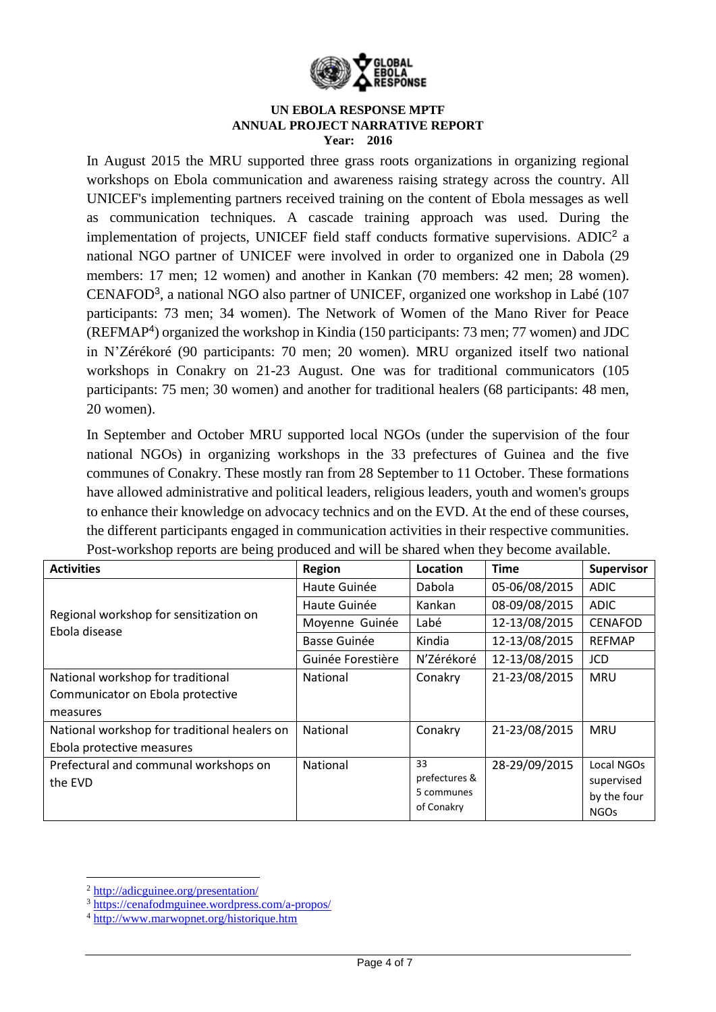

In August 2015 the MRU supported three grass roots organizations in organizing regional workshops on Ebola communication and awareness raising strategy across the country. All UNICEF's implementing partners received training on the content of Ebola messages as well as communication techniques. A cascade training approach was used. During the implementation of projects, UNICEF field staff conducts formative supervisions. ADIC<sup>2</sup> a national NGO partner of UNICEF were involved in order to organized one in Dabola (29 members: 17 men; 12 women) and another in Kankan (70 members: 42 men; 28 women). CENAFOD<sup>3</sup> , a national NGO also partner of UNICEF, organized one workshop in Labé (107 participants: 73 men; 34 women). The Network of Women of the Mano River for Peace (REFMAP<sup>4</sup> ) organized the workshop in Kindia (150 participants: 73 men; 77 women) and JDC in N'Zérékoré (90 participants: 70 men; 20 women). MRU organized itself two national workshops in Conakry on 21-23 August. One was for traditional communicators (105 participants: 75 men; 30 women) and another for traditional healers (68 participants: 48 men, 20 women).

In September and October MRU supported local NGOs (under the supervision of the four national NGOs) in organizing workshops in the 33 prefectures of Guinea and the five communes of Conakry. These mostly ran from 28 September to 11 October. These formations have allowed administrative and political leaders, religious leaders, youth and women's groups to enhance their knowledge on advocacy technics and on the EVD. At the end of these courses, the different participants engaged in communication activities in their respective communities. Post-workshop reports are being produced and will be shared when they become available.

| <b>Activities</b>                                       | Region              | Location                 | <b>Time</b>   | <b>Supervisor</b> |
|---------------------------------------------------------|---------------------|--------------------------|---------------|-------------------|
| Regional workshop for sensitization on<br>Ebola disease | Haute Guinée        | Dabola                   | 05-06/08/2015 | <b>ADIC</b>       |
|                                                         | Haute Guinée        | Kankan                   | 08-09/08/2015 | <b>ADIC</b>       |
|                                                         | Moyenne Guinée      | Labé                     | 12-13/08/2015 | <b>CENAFOD</b>    |
|                                                         | <b>Basse Guinée</b> | Kindia                   | 12-13/08/2015 | <b>REFMAP</b>     |
|                                                         | Guinée Forestière   | N'Zérékoré               | 12-13/08/2015 | <b>JCD</b>        |
| National workshop for traditional                       | <b>National</b>     | Conakry                  | 21-23/08/2015 | <b>MRU</b>        |
| Communicator on Ebola protective                        |                     |                          |               |                   |
| measures                                                |                     |                          |               |                   |
| National workshop for traditional healers on            | National            | Conakry                  | 21-23/08/2015 | <b>MRU</b>        |
| Ebola protective measures                               |                     |                          |               |                   |
| Prefectural and communal workshops on                   | National            | 33                       | 28-29/09/2015 | Local NGOs        |
| the EVD                                                 |                     | prefectures &            |               | supervised        |
|                                                         |                     | 5 communes<br>of Conakry |               | by the four       |
|                                                         |                     |                          |               | <b>NGOs</b>       |

<sup>1</sup> <sup>2</sup> <http://adicguinee.org/presentation/>

<sup>3</sup> <https://cenafodmguinee.wordpress.com/a-propos/>

<sup>4</sup> <http://www.marwopnet.org/historique.htm>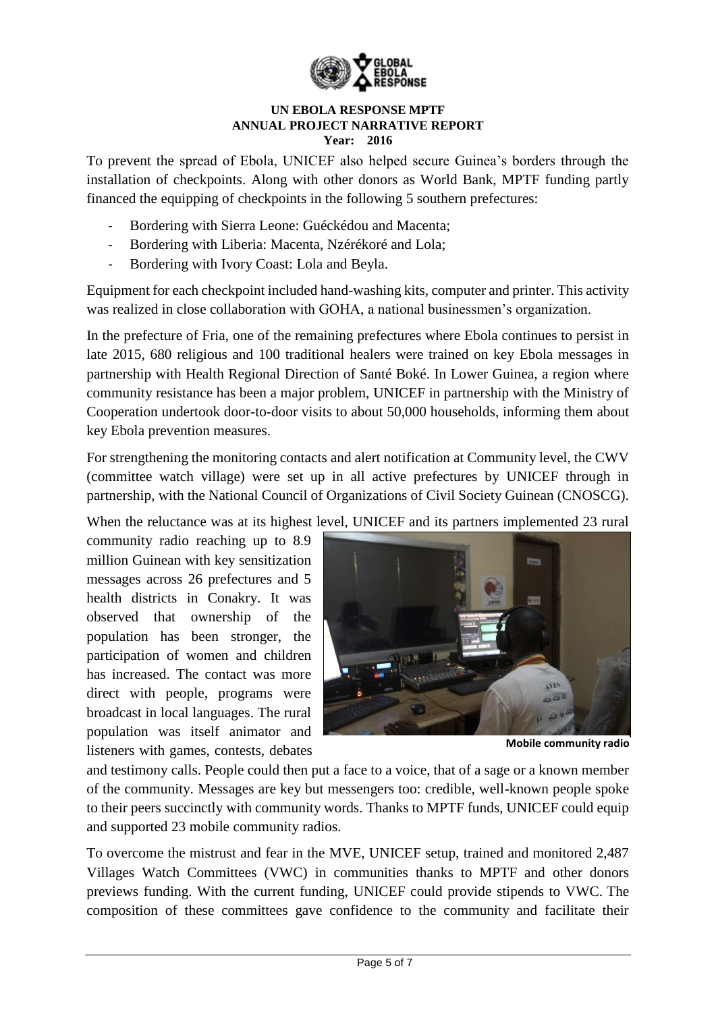

To prevent the spread of Ebola, UNICEF also helped secure Guinea's borders through the installation of checkpoints. Along with other donors as World Bank, MPTF funding partly financed the equipping of checkpoints in the following 5 southern prefectures:

- Bordering with Sierra Leone: Guéckédou and Macenta;
- Bordering with Liberia: Macenta, Nzérékoré and Lola;
- Bordering with Ivory Coast: Lola and Beyla.

Equipment for each checkpoint included hand-washing kits, computer and printer. This activity was realized in close collaboration with GOHA, a national businessmen's organization.

In the prefecture of Fria, one of the remaining prefectures where Ebola continues to persist in late 2015, 680 religious and 100 traditional healers were trained on key Ebola messages in partnership with Health Regional Direction of Santé Boké. In Lower Guinea, a region where community resistance has been a major problem, UNICEF in partnership with the Ministry of Cooperation undertook door-to-door visits to about 50,000 households, informing them about key Ebola prevention measures.

For strengthening the monitoring contacts and alert notification at Community level, the CWV (committee watch village) were set up in all active prefectures by UNICEF through in partnership, with the National Council of Organizations of Civil Society Guinean (CNOSCG).

When the reluctance was at its highest level. UNICEF and its partners implemented 23 rural

community radio reaching up to 8.9 million Guinean with key sensitization messages across 26 prefectures and 5 health districts in Conakry. It was observed that ownership of the population has been stronger, the participation of women and children has increased. The contact was more direct with people, programs were broadcast in local languages. The rural population was itself animator and listeners with games, contests, debates



**Mobile community radio** 

and testimony calls. People could then put a face to a voice, that of a sage or a known member of the community. Messages are key but messengers too: credible, well-known people spoke to their peers succinctly with community words. Thanks to MPTF funds, UNICEF could equip and supported 23 mobile community radios.

To overcome the mistrust and fear in the MVE, UNICEF setup, trained and monitored 2,487 Villages Watch Committees (VWC) in communities thanks to MPTF and other donors previews funding. With the current funding, UNICEF could provide stipends to VWC. The composition of these committees gave confidence to the community and facilitate their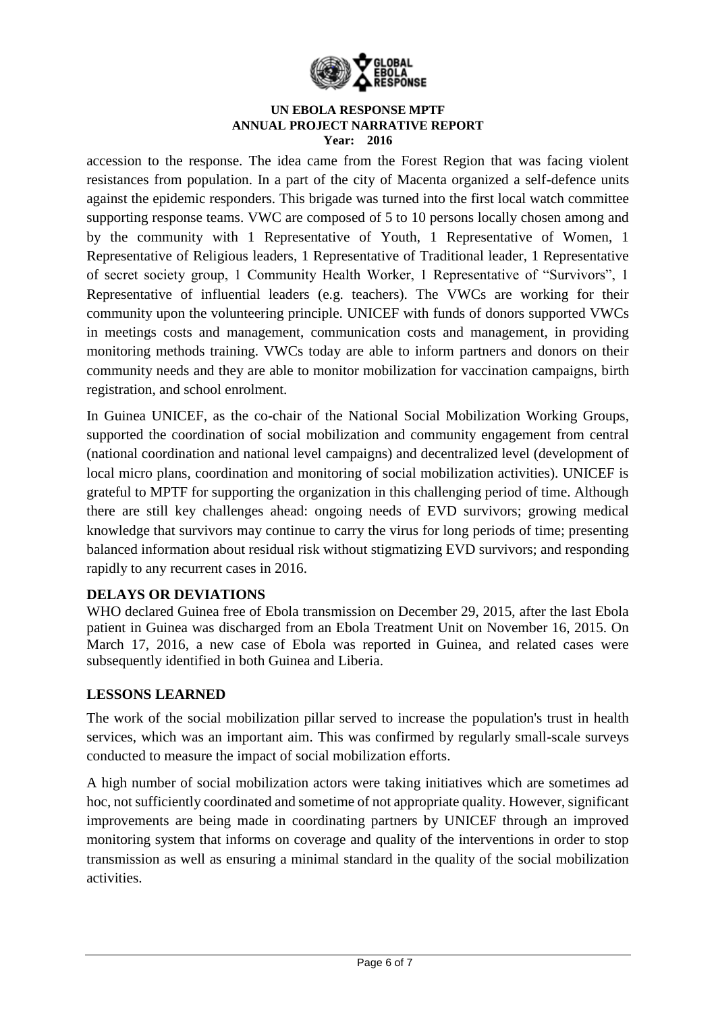

accession to the response. The idea came from the Forest Region that was facing violent resistances from population. In a part of the city of Macenta organized a self-defence units against the epidemic responders. This brigade was turned into the first local watch committee supporting response teams. VWC are composed of 5 to 10 persons locally chosen among and by the community with 1 Representative of Youth, 1 Representative of Women, 1 Representative of Religious leaders, 1 Representative of Traditional leader, 1 Representative of secret society group, 1 Community Health Worker, 1 Representative of "Survivors", 1 Representative of influential leaders (e.g. teachers). The VWCs are working for their community upon the volunteering principle. UNICEF with funds of donors supported VWCs in meetings costs and management, communication costs and management, in providing monitoring methods training. VWCs today are able to inform partners and donors on their community needs and they are able to monitor mobilization for vaccination campaigns, birth registration, and school enrolment.

In Guinea UNICEF, as the co-chair of the National Social Mobilization Working Groups, supported the coordination of social mobilization and community engagement from central (national coordination and national level campaigns) and decentralized level (development of local micro plans, coordination and monitoring of social mobilization activities). UNICEF is grateful to MPTF for supporting the organization in this challenging period of time. Although there are still key challenges ahead: ongoing needs of EVD survivors; growing medical knowledge that survivors may continue to carry the virus for long periods of time; presenting balanced information about residual risk without stigmatizing EVD survivors; and responding rapidly to any recurrent cases in 2016.

## **DELAYS OR DEVIATIONS**

WHO declared Guinea free of Ebola transmission on December 29, 2015, after the last Ebola patient in Guinea was discharged from an Ebola Treatment Unit on November 16, 2015. On March 17, 2016, a new case of Ebola was reported in Guinea, and related cases were subsequently identified in both Guinea and Liberia.

# **LESSONS LEARNED**

The work of the social mobilization pillar served to increase the population's trust in health services, which was an important aim. This was confirmed by regularly small-scale surveys conducted to measure the impact of social mobilization efforts.

A high number of social mobilization actors were taking initiatives which are sometimes ad hoc, not sufficiently coordinated and sometime of not appropriate quality. However, significant improvements are being made in coordinating partners by UNICEF through an improved monitoring system that informs on coverage and quality of the interventions in order to stop transmission as well as ensuring a minimal standard in the quality of the social mobilization activities.